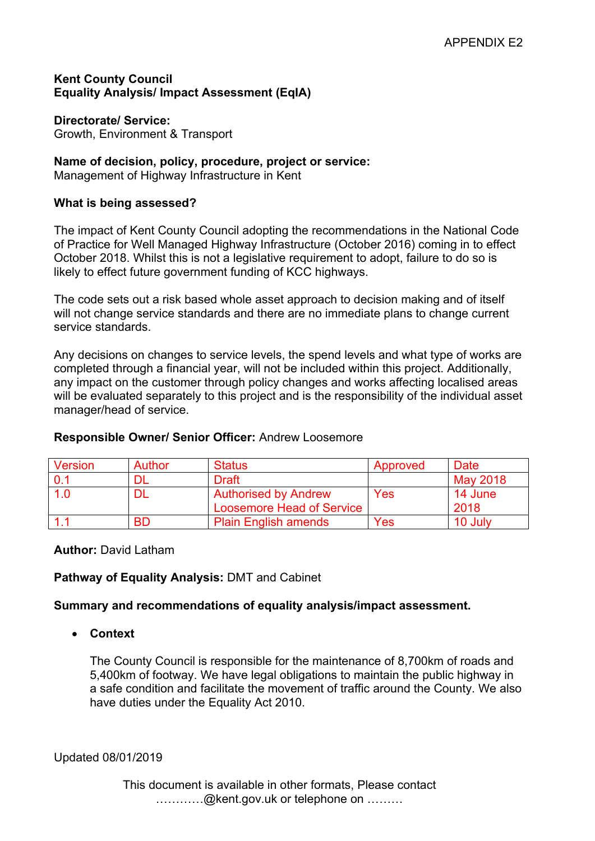# **Kent County Council Equality Analysis/ Impact Assessment (EqIA)**

### **Directorate/ Service:**

Growth, Environment & Transport

# **Name of decision, policy, procedure, project or service:**

Management of Highway Infrastructure in Kent

# **What is being assessed?**

The impact of Kent County Council adopting the recommendations in the National Code of Practice for Well Managed Highway Infrastructure (October 2016) coming in to effect October 2018. Whilst this is not a legislative requirement to adopt, failure to do so is likely to effect future government funding of KCC highways.

The code sets out a risk based whole asset approach to decision making and of itself will not change service standards and there are no immediate plans to change current service standards.

Any decisions on changes to service levels, the spend levels and what type of works are completed through a financial year, will not be included within this project. Additionally, any impact on the customer through policy changes and works affecting localised areas will be evaluated separately to this project and is the responsibility of the individual asset manager/head of service.

| Version | <b>Author</b> | <b>Status</b>                    | Approved | Date     |
|---------|---------------|----------------------------------|----------|----------|
| . በ 1   |               | <b>Draft</b>                     |          | May 2018 |
| 1.0     | Dl            | <b>Authorised by Andrew</b>      | Yes      | 14 June  |
|         |               | <b>Loosemore Head of Service</b> |          | 2018     |
|         | <b>BD</b>     | <b>Plain English amends</b>      | Yes      | 10 July  |

# **Responsible Owner/ Senior Officer:** Andrew Loosemore

# **Author:** David Latham

# **Pathway of Equality Analysis:** DMT and Cabinet

# **Summary and recommendations of equality analysis/impact assessment.**

**Context**

The County Council is responsible for the maintenance of 8,700km of roads and 5,400km of footway. We have legal obligations to maintain the public highway in a safe condition and facilitate the movement of traffic around the County. We also have duties under the Equality Act 2010.

Updated 08/01/2019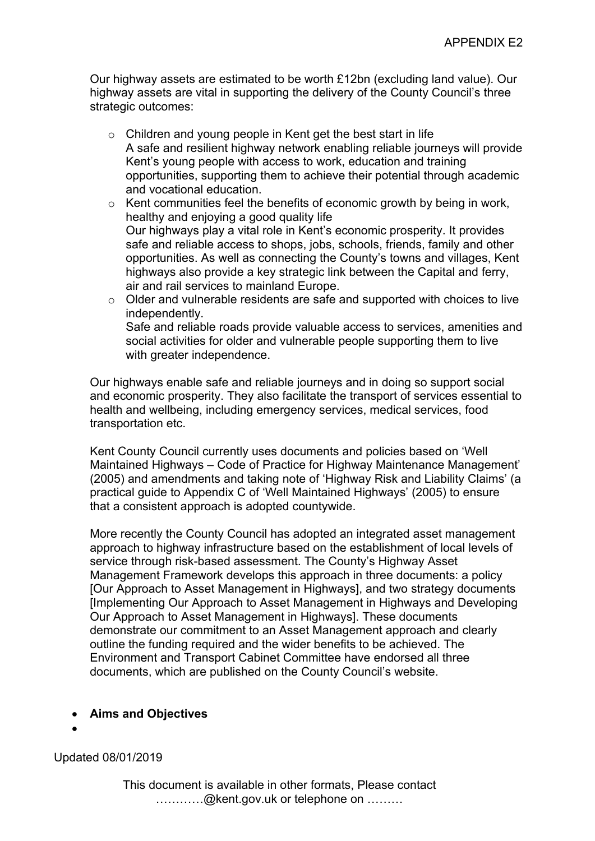Our highway assets are estimated to be worth £12bn (excluding land value). Our highway assets are vital in supporting the delivery of the County Council's three strategic outcomes:

- o Children and young people in Kent get the best start in life A safe and resilient highway network enabling reliable journeys will provide Kent's young people with access to work, education and training opportunities, supporting them to achieve their potential through academic and vocational education.
- o Kent communities feel the benefits of economic growth by being in work, healthy and enjoying a good quality life Our highways play a vital role in Kent's economic prosperity. It provides safe and reliable access to shops, jobs, schools, friends, family and other opportunities. As well as connecting the County's towns and villages, Kent highways also provide a key strategic link between the Capital and ferry, air and rail services to mainland Europe.
- o Older and vulnerable residents are safe and supported with choices to live independently. Safe and reliable roads provide valuable access to services, amenities and social activities for older and vulnerable people supporting them to live with greater independence.

Our highways enable safe and reliable journeys and in doing so support social and economic prosperity. They also facilitate the transport of services essential to health and wellbeing, including emergency services, medical services, food transportation etc.

Kent County Council currently uses documents and policies based on 'Well Maintained Highways – Code of Practice for Highway Maintenance Management' (2005) and amendments and taking note of 'Highway Risk and Liability Claims' (a practical guide to Appendix C of 'Well Maintained Highways' (2005) to ensure that a consistent approach is adopted countywide.

More recently the County Council has adopted an integrated asset management approach to highway infrastructure based on the establishment of local levels of service through risk-based assessment. The County's Highway Asset Management Framework develops this approach in three documents: a policy [Our Approach to Asset Management in Highways], and two strategy documents [Implementing Our Approach to Asset Management in Highways and Developing Our Approach to Asset Management in Highways]. These documents demonstrate our commitment to an Asset Management approach and clearly outline the funding required and the wider benefits to be achieved. The Environment and Transport Cabinet Committee have endorsed all three documents, which are published on the County Council's website.

- **Aims and Objectives**
- $\bullet$

Updated 08/01/2019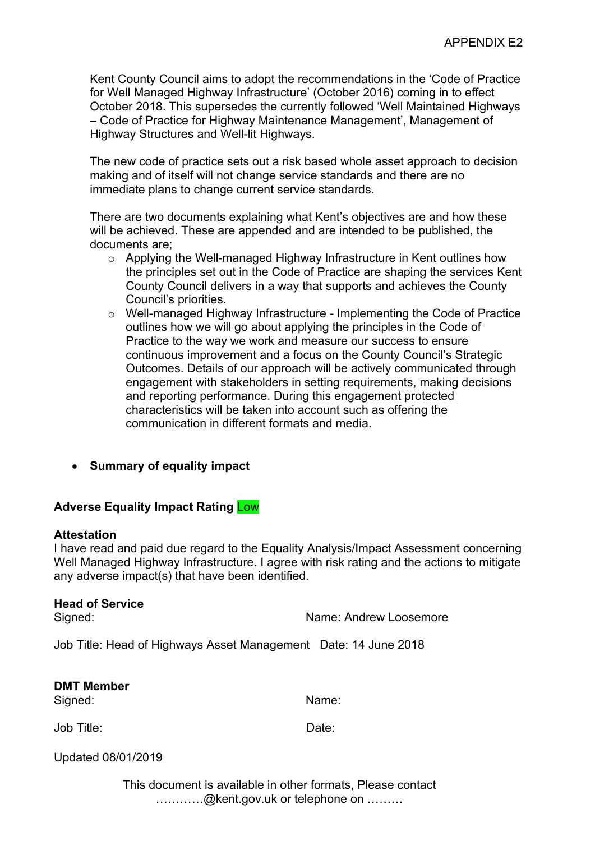Kent County Council aims to adopt the recommendations in the 'Code of Practice for Well Managed Highway Infrastructure' (October 2016) coming in to effect October 2018. This supersedes the currently followed 'Well Maintained Highways – Code of Practice for Highway Maintenance Management', Management of Highway Structures and Well-lit Highways.

The new code of practice sets out a risk based whole asset approach to decision making and of itself will not change service standards and there are no immediate plans to change current service standards.

There are two documents explaining what Kent's objectives are and how these will be achieved. These are appended and are intended to be published, the documents are;

- o Applying the Well-managed Highway Infrastructure in Kent outlines how the principles set out in the Code of Practice are shaping the services Kent County Council delivers in a way that supports and achieves the County Council's priorities.
- o Well-managed Highway Infrastructure Implementing the Code of Practice outlines how we will go about applying the principles in the Code of Practice to the way we work and measure our success to ensure continuous improvement and a focus on the County Council's Strategic Outcomes. Details of our approach will be actively communicated through engagement with stakeholders in setting requirements, making decisions and reporting performance. During this engagement protected characteristics will be taken into account such as offering the communication in different formats and media.
- **Summary of equality impact**

# **Adverse Equality Impact Rating** Low

#### **Attestation**

I have read and paid due regard to the Equality Analysis/Impact Assessment concerning Well Managed Highway Infrastructure. I agree with risk rating and the actions to mitigate any adverse impact(s) that have been identified.

# **Head of Service**

Signed: Signed: Name: Andrew Loosemore

Job Title: Head of Highways Asset Management Date: 14 June 2018

**DMT Member** Signed: Name: Name: Name: Name: Name: Name: Name: Name: Name: Name: Name: Name: Name: Name: Name: Name: Name: Name: Name: Name: Name: Name: Name: Name: Name: Name: Name: Name: Name: Name: Name: Name: Name: Name: Name: Name

Job Title: Date:

Updated 08/01/2019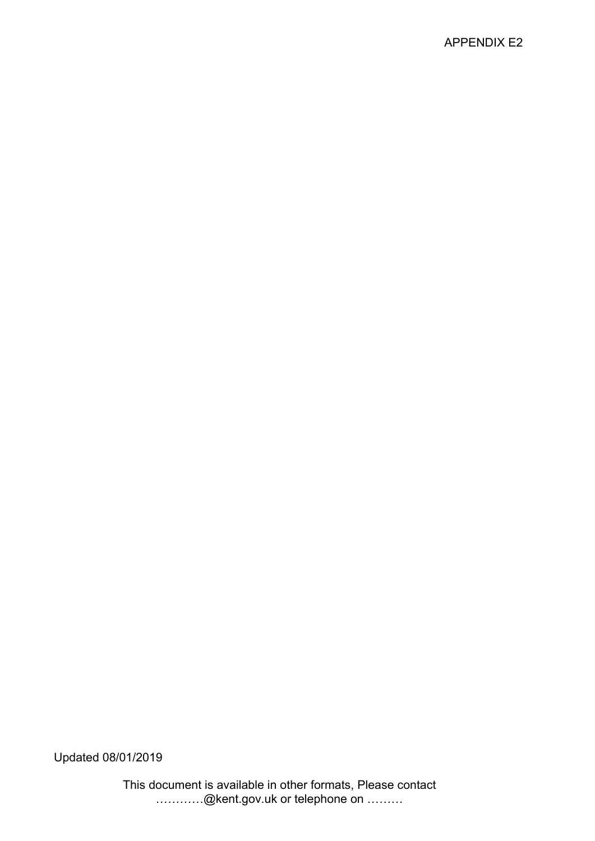# APPENDIX E2

Updated 08/01/2019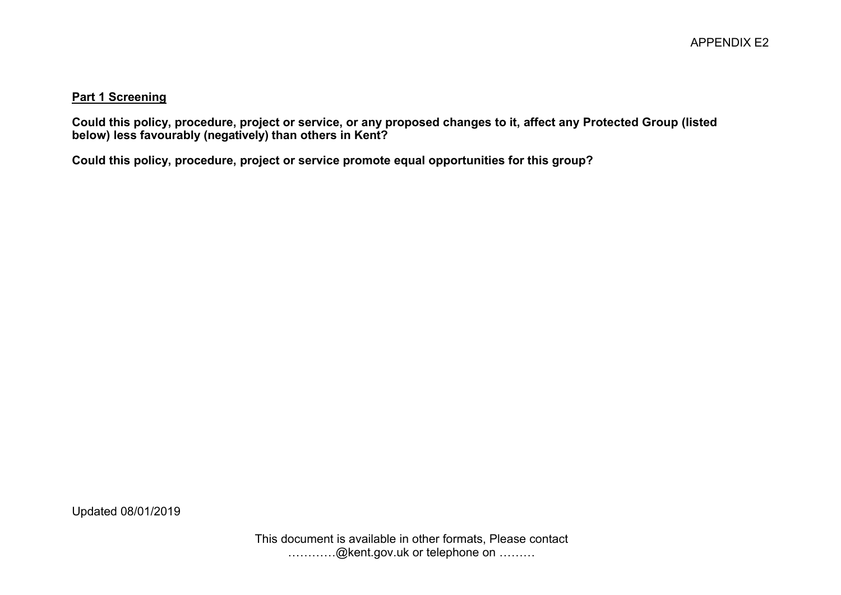#### **Part 1 Screening**

Could this policy, procedure, project or service, or any proposed changes to it, affect any Protected Group (listed **below) less favourably (negatively) than others in Kent?**

**Could this policy, procedure, project or service promote equal opportunities for this group?**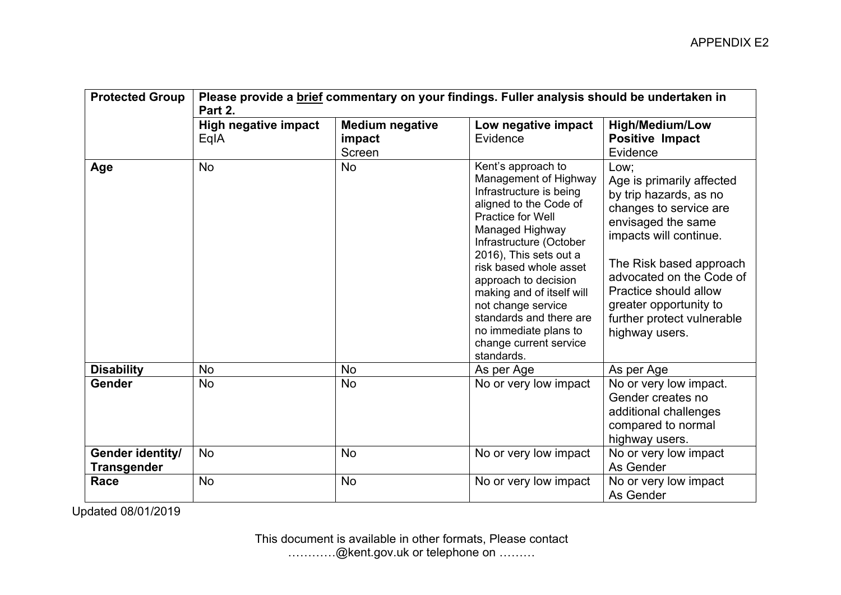| <b>Protected Group</b>                 | Please provide a brief commentary on your findings. Fuller analysis should be undertaken in<br>Part 2. |                                            |                                                                                                                                                                                                                                                                                                                                                                                                |                                                                                                                                                                                                                                                                                                 |  |
|----------------------------------------|--------------------------------------------------------------------------------------------------------|--------------------------------------------|------------------------------------------------------------------------------------------------------------------------------------------------------------------------------------------------------------------------------------------------------------------------------------------------------------------------------------------------------------------------------------------------|-------------------------------------------------------------------------------------------------------------------------------------------------------------------------------------------------------------------------------------------------------------------------------------------------|--|
|                                        | <b>High negative impact</b><br>EqIA                                                                    | <b>Medium negative</b><br>impact<br>Screen | Low negative impact<br>Evidence                                                                                                                                                                                                                                                                                                                                                                | <b>High/Medium/Low</b><br><b>Positive Impact</b><br>Evidence                                                                                                                                                                                                                                    |  |
| Age                                    | <b>No</b>                                                                                              | No                                         | Kent's approach to<br>Management of Highway<br>Infrastructure is being<br>aligned to the Code of<br>Practice for Well<br>Managed Highway<br>Infrastructure (October<br>2016), This sets out a<br>risk based whole asset<br>approach to decision<br>making and of itself will<br>not change service<br>standards and there are<br>no immediate plans to<br>change current service<br>standards. | Low:<br>Age is primarily affected<br>by trip hazards, as no<br>changes to service are<br>envisaged the same<br>impacts will continue.<br>The Risk based approach<br>advocated on the Code of<br>Practice should allow<br>greater opportunity to<br>further protect vulnerable<br>highway users. |  |
| <b>Disability</b>                      | <b>No</b>                                                                                              | <b>No</b>                                  | As per Age                                                                                                                                                                                                                                                                                                                                                                                     | As per Age                                                                                                                                                                                                                                                                                      |  |
| Gender                                 | <b>No</b>                                                                                              | <b>No</b>                                  | No or very low impact                                                                                                                                                                                                                                                                                                                                                                          | No or very low impact.<br>Gender creates no<br>additional challenges<br>compared to normal<br>highway users.                                                                                                                                                                                    |  |
| Gender identity/<br><b>Transgender</b> | <b>No</b>                                                                                              | <b>No</b>                                  | No or very low impact                                                                                                                                                                                                                                                                                                                                                                          | No or very low impact<br>As Gender                                                                                                                                                                                                                                                              |  |
| Race                                   | <b>No</b>                                                                                              | <b>No</b>                                  | No or very low impact                                                                                                                                                                                                                                                                                                                                                                          | No or very low impact<br>As Gender                                                                                                                                                                                                                                                              |  |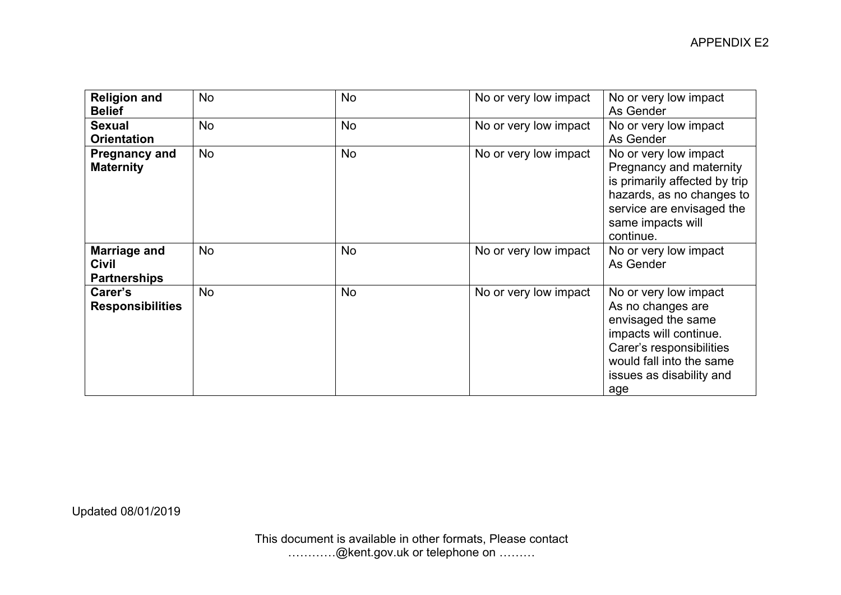| <b>Religion and</b><br><b>Belief</b>                       | <b>No</b> | <b>No</b> | No or very low impact | No or very low impact<br>As Gender                                                                                                                                                    |
|------------------------------------------------------------|-----------|-----------|-----------------------|---------------------------------------------------------------------------------------------------------------------------------------------------------------------------------------|
| <b>Sexual</b><br><b>Orientation</b>                        | <b>No</b> | <b>No</b> | No or very low impact | No or very low impact<br>As Gender                                                                                                                                                    |
| <b>Pregnancy and</b><br><b>Maternity</b>                   | No        | <b>No</b> | No or very low impact | No or very low impact<br>Pregnancy and maternity<br>is primarily affected by trip<br>hazards, as no changes to<br>service are envisaged the<br>same impacts will<br>continue.         |
| <b>Marriage and</b><br><b>Civil</b><br><b>Partnerships</b> | <b>No</b> | <b>No</b> | No or very low impact | No or very low impact<br>As Gender                                                                                                                                                    |
| Carer's<br><b>Responsibilities</b>                         | <b>No</b> | <b>No</b> | No or very low impact | No or very low impact<br>As no changes are<br>envisaged the same<br>impacts will continue.<br>Carer's responsibilities<br>would fall into the same<br>issues as disability and<br>age |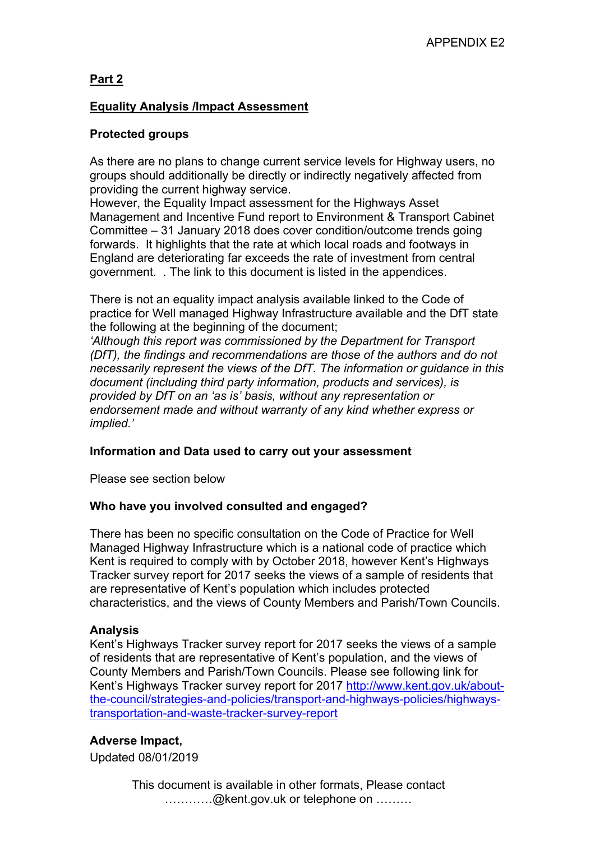# **Part 2**

# **Equality Analysis /Impact Assessment**

# **Protected groups**

As there are no plans to change current service levels for Highway users, no groups should additionally be directly or indirectly negatively affected from providing the current highway service.

However, the Equality Impact assessment for the Highways Asset Management and Incentive Fund report to Environment & Transport Cabinet Committee – 31 January 2018 does cover condition/outcome trends going forwards. It highlights that the rate at which local roads and footways in England are deteriorating far exceeds the rate of investment from central government. . The link to this document is listed in the appendices.

There is not an equality impact analysis available linked to the Code of practice for Well managed Highway Infrastructure available and the DfT state the following at the beginning of the document;

*'Although this report was commissioned by the Department for Transport (DfT), the findings and recommendations are those of the authors and do not necessarily represent the views of the DfT. The information or guidance in this document (including third party information, products and services), is provided by DfT on an 'as is' basis, without any representation or endorsement made and without warranty of any kind whether express or implied.'*

# **Information and Data used to carry out your assessment**

Please see section below

# **Who have you involved consulted and engaged?**

There has been no specific consultation on the Code of Practice for Well Managed Highway Infrastructure which is a national code of practice which Kent is required to comply with by October 2018, however Kent's Highways Tracker survey report for 2017 seeks the views of a sample of residents that are representative of Kent's population which includes protected characteristics, and the views of County Members and Parish/Town Councils.

# **Analysis**

Kent's Highways Tracker survey report for 2017 seeks the views of a sample of residents that are representative of Kent's population, and the views of County Members and Parish/Town Councils. Please see following link for Kent's Highways Tracker survey report for 2017 [http://www.kent.gov.uk/about](http://www.kent.gov.uk/about-the-council/strategies-and-policies/transport-and-highways-policies/highways-transportation-and-waste-tracker-survey-report)[the-council/strategies-and-policies/transport-and-highways-policies/highways](http://www.kent.gov.uk/about-the-council/strategies-and-policies/transport-and-highways-policies/highways-transportation-and-waste-tracker-survey-report)[transportation-and-waste-tracker-survey-report](http://www.kent.gov.uk/about-the-council/strategies-and-policies/transport-and-highways-policies/highways-transportation-and-waste-tracker-survey-report)

# **Adverse Impact,**

Updated 08/01/2019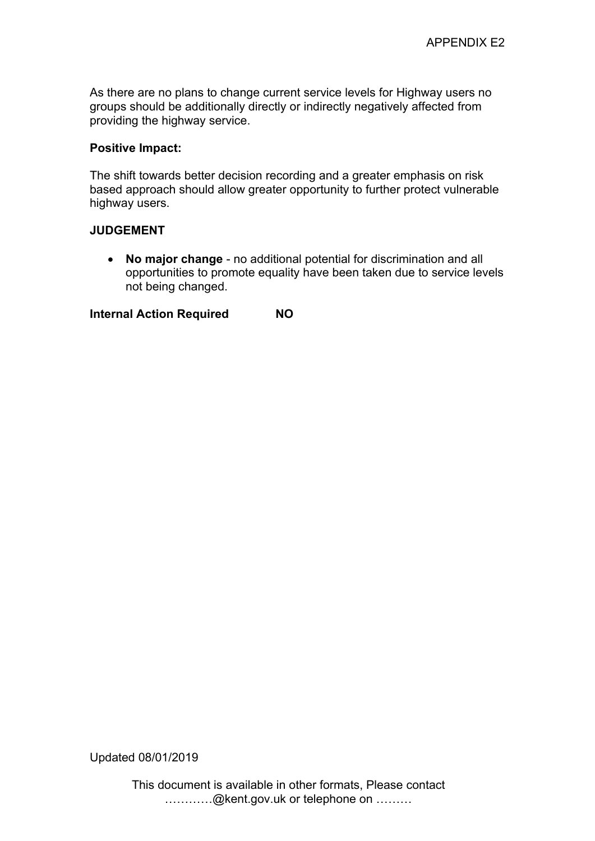As there are no plans to change current service levels for Highway users no groups should be additionally directly or indirectly negatively affected from providing the highway service.

### **Positive Impact:**

The shift towards better decision recording and a greater emphasis on risk based approach should allow greater opportunity to further protect vulnerable highway users.

### **JUDGEMENT**

 **No major change** - no additional potential for discrimination and all opportunities to promote equality have been taken due to service levels not being changed.

**Internal Action Required NO**

Updated 08/01/2019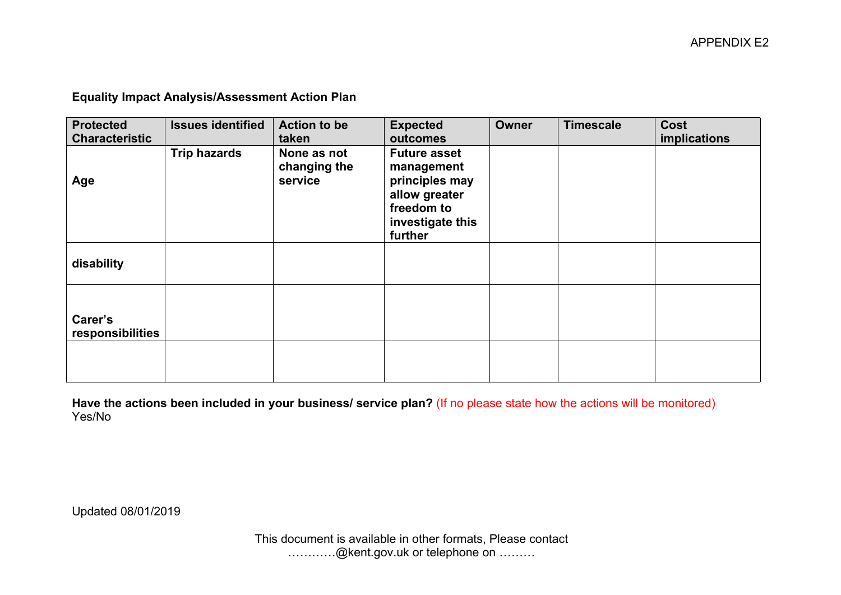**Equality Impact Analysis/Assessment Action Plan**

| <b>Protected</b><br><b>Characteristic</b> | <b>Issues identified</b> | <b>Action to be</b><br>taken           | <b>Expected</b><br>outcomes                                                                                       | Owner | <b>Timescale</b> | <b>Cost</b><br>implications |
|-------------------------------------------|--------------------------|----------------------------------------|-------------------------------------------------------------------------------------------------------------------|-------|------------------|-----------------------------|
| Age                                       | <b>Trip hazards</b>      | None as not<br>changing the<br>service | <b>Future asset</b><br>management<br>principles may<br>allow greater<br>freedom to<br>investigate this<br>further |       |                  |                             |
| disability                                |                          |                                        |                                                                                                                   |       |                  |                             |
| Carer's<br>responsibilities               |                          |                                        |                                                                                                                   |       |                  |                             |
|                                           |                          |                                        |                                                                                                                   |       |                  |                             |

**Have the actions been included in your business/ service plan?** (If no please state how the actions will be monitored) Yes/No